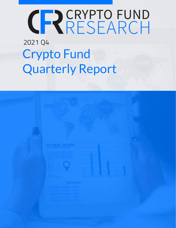# CRYPTO FUND

## Crypto Fund Quarterly Report 2021 Q4

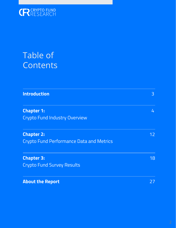

### Table of **Contents**

| <b>Introduction</b>                                                  | 3  |
|----------------------------------------------------------------------|----|
| <b>Chapter 1:</b><br><b>Crypto Fund Industry Overview</b>            | 4  |
| <b>Chapter 2:</b><br><b>Crypto Fund Performance Data and Metrics</b> | 12 |
| <b>Chapter 3:</b><br><b>Crypto Fund Survey Results</b>               | 18 |
| <b>About the Report</b>                                              | 27 |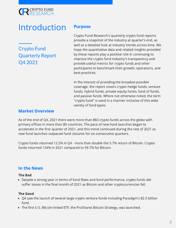### <span id="page-2-0"></span>Introduction

Crypto Fund Quarterly Report Q4 2021

#### Purpose

Crypto Fund Research's quarterly crypto fund reports provide a snapshot of the industry at quarter's end, as well as a detailed look at industry trends across time. We hope the quantitative data and related insights provided by these reports play a positive role in continuing to improve the crypto fund industry's transparency and provide useful metrics for crypto funds and other participants to benchmark their growth, operations, and best-practices.

In the interest of providing the broadest possible coverage, the report covers crypto hedge funds, venture funds, hybrid funds, private equity funds, fund of funds, and passive funds. Where not otherwise noted, the term "crypto fund" is used in a manner inclusive of this wide variety of fund types.

#### Market Overview

As of the end of Q4, 2021 there were more than 860 crypto funds across the globe with primary offices in more than 80 countries. The pace of new fund launches began to accelerate in the first quarter of 2021, and this trend continued during the rest of 2021 as new fund launches outpaced fund closures for six consecutive quarters.

Crypto funds returned 12.2% in Q4 - more than double the 5.7% return of Bitcoin. Crypto funds returned 154% in 2021 compared to 59.7% for Bitcoin.

#### In the News

#### The Bad

Despite a strong year in terms of fund flows and fund performance, crypto funds did suffer losses in the final month of 2021 as Bitcoin and other cryptocurrencies fell.

#### The Good

- Q4 saw the launch of several large crypto venture funds including Paradigm's \$2.5 billion fund.
- The first U.S. Bitcoin-linked ETF, the ProShares Bitcoin Strategy, was launched.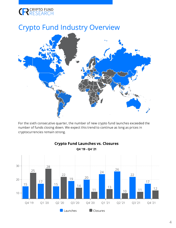#### <span id="page-3-0"></span>Crypto Fund Industry Overview



For the sixth consecutive quarter, the number of new crypto fund launches exceeded the number of funds closing down. We expect this trend to continue as long as prices in cryptocurrencies remain strong.



Crypto Fund Launches vs. Closures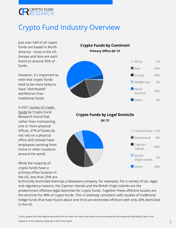#### Crypto Fund Industry Overview

Just over half of all crypto funds are based in North America - most in the US. Europe and Asia are each home to around 20% of funds.

However, it's important to note that crypto funds tend to be more likely to have "distributed" workforces than traditional funds.

A 2021 survey of crypto funds by [Crypto](https://cryptofundresearch.com/2021-crypto-fund-survey/) Fund Research found that rather than maintaining one or more physical offices, 27% of funds do not rely on a physical office and instead have employees working from home or other locations around the world.

While the majority of crypto funds have a primary office location in the US, less than 20% are



technically domiciled there (as a Delaware company, for example). For a variety of tax, legal, and regulatory reasons, the Cayman Islands and the British Virgin Islands are the predominant offshore legal domiciles for crypto funds. Together these offshore locales are the domicile for 49% of crypto funds. This is relatively consistent with studies of traditional hedge funds that have found about one third are domiciled offshore with only 20% domiciled in the US.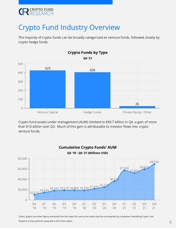

#### Crypto Fund Industry Overview

The majority of crypto funds can be broadly categorized as venture funds, followed closely by crypto hedge funds.



Crypto fund assets under management (AUM) climbed to \$69.7 billion in Q4, a gain of more than \$10 billion over Q3. Much of this gain is attributable to investor flows into crypto venture funds.

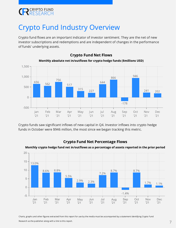#### Crypto Fund Industry Overview

Crypto fund flows are an important indicator of investor sentiment. They are the net of new investor subscriptions and redemptions and are independent of changes in the performance of funds' underlying assets.



Crypto Fund Net Flows Monthly absolute net in/outflows for crypto hedge funds (\$millions USD)

Crypto funds saw significant inflows of new capital in Q4. Investor inflows into crypto hedge funds in October were \$946 million, the most since we began tracking this metric.



#### Crypto Fund Net Percentage Flows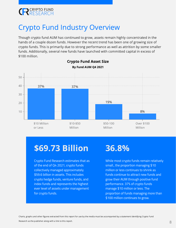

#### Crypto Fund Industry Overview

Though crypto fund AUM has continued to grow, assets remain highly concentrated in the hands of a couple dozen funds. However the recent trend has been one of growing size of crypto funds. This is primarily due to strong performance as well as attrition by some smaller funds. Additionally, several new funds have launched with committed capital in excess of \$100 million.



#### Crypto Fund Asset Size

### \$69.73 Billion

Crypto Fund Research estimates that as of the end of Q4 2021, crypto funds collectively managed approximately \$59.6 billion in assets. This includes crypto hedge funds, venture funds, and index funds and represents the highest ever level of assets under management for crypto funds.

#### 36.8%

While most crypto funds remain relatively small., the proportion managing \$10 million or less continues to shrink as funds continue to attract new funds and grow their AUM through positive fund performance. 37% of crypto funds manage \$10 million or less. The proportion of funds managing more than \$100 million continues to grow.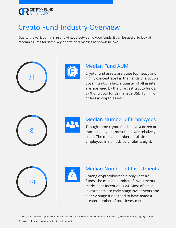#### Crypto Fund Industry Overview

Due to the variation in size and vintage between crypto funds, it can be useful to look at median figures for some key operational metrics as shown below:

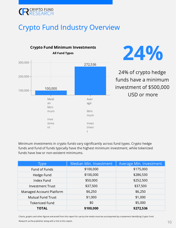#### Crypto Fund Industry Overview





24% of crypto hedge funds have a minimum investment of \$500,000 USD or more

Minimum investments in crypto funds vary significantly across fund types. Crypto hedge funds and fund of funds typically have the highest minimum investment, while tokenized funds have low or non-existent minimums.

| Type                     | Median Min. Investment | Average Min. Investment |
|--------------------------|------------------------|-------------------------|
| Fund of Funds            | \$100,000              | \$175,000               |
| Hedge Fund               | \$100,000              | \$286,530               |
| Index Fund               | \$50,000               | \$252,500               |
| <b>Investment Trust</b>  | \$37,500               | \$37,500                |
| Managed Account Platform | \$6,250                | \$6,250                 |
| <b>Mutual Fund Trust</b> | \$1,000                | \$1,000                 |
| <b>Tokenized Fund</b>    | \$0                    | \$5,000                 |
| <b>TOTAL</b>             | \$100,000              | \$272,536               |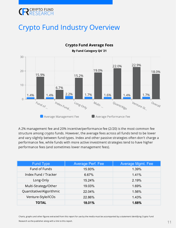#### Crypto Fund Industry Overview



Crypto Fund Average Fees By Fund Category Q4 '21

A 2% management fee and 20% incentive/performance fee (2/20) is the most common fee structure among crypto funds. However, the average fees across all funds tend to be lower and vary slightly between fund types. Index and other passive strategies often don't charge a performance fee, while funds with more active investment strategies tend to have higher performance fees (and sometimes lower management fees).

| <b>Fund Type</b>         | <b>Average Perf. Fee</b> | <b>Average Mgmt. Fee</b> |
|--------------------------|--------------------------|--------------------------|
| Fund of Funds            | 15.93%                   | 1.39%                    |
| Index Fund / Tracker     | 6.67%                    | 1.41%                    |
| Long-Only                | 15.24%                   | 2.19%                    |
| Multi-Strategy/Other     | 19.03%                   | 1.69%                    |
| Quantitative/Algorithmic | 22.04%                   | 1.56%                    |
| Venture-Style/ICOs       | 22.86%                   | 1.43%                    |
| <b>TOTAL</b>             | 18.01%                   | 1.68%                    |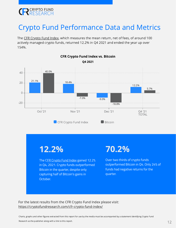<span id="page-11-0"></span>

#### Crypto Fund Performance Data and Metrics

The CFR [Crypto](https://cryptofundresearch.com/cfr-crypto-fund-index/) Fund Index, which measures the mean return, net of fees, of around 100 actively managed crypto funds, returned 12.2% in Q4 2021 and ended the year up over 154%.



#### CFR Crypto Fund Index vs. Bitcoin

12.2%

The [CFR Crypto Fund Index](https://cryptofundresearch.com/cfr-crypto-fund-index/) gained 12.2% in Q4, 2021. Crypto funds outperformed Bitcoin in the quarter, despite only capturing half of Bitcoin's gains in October.

#### 70.2%

Over two thirds of crypto funds outperformed Bitcoin in Q4. Only 24% of funds had negative returns for the quarter.

For the latest results from the CFR Crypto Fund Index please visit: <https://cryptofundresearch.com/cfr-crypto-fund-index/>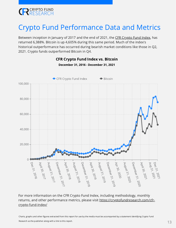

#### Crypto Fund Performance Data and Metrics

Between inception in January of 2017 and the end of 2021, the CFR [Crypto](https://cryptofundresearch.com/cfr-crypto-fund-index/) Fund Index, has returned 6,388%. Bitcoin is up 4,605% during this same period. Much of the index's historical outperformance has occurred during bearish market conditions like those in Q2, 2021. Crypto funds outperformed Bitcoin in Q4.



#### CFR Crypto Fund Index vs. Bitcoin

For more information on the CFR Crypto Fund Index, including methodology, monthly returns, and other performance metrics, please visit [https://cryptofundresearch.com/cfr](https://cryptofundresearch.com/cfr-crypto-fund-index/)crypto-fund-index/

Charts, graphs and other figures extracted from this report for use by the media must be accompanied by a statement identifying Crypto Fund Research as the publisher along with a link to this report.

### December 31, 2016 - December 31, 2021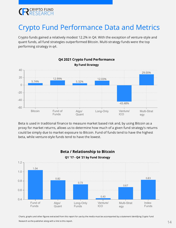#### Crypto Fund Performance Data and Metrics

Crypto funds gained a relatively modest 12.2% in Q4. With the exception of venture-style and quant funds, all fund strategies outperformed Bitcoin. Multi-strategy funds were the top performing strategy in q4.



Beta is used in traditional finance to measure market based risk and, by using Bitcoin as a proxy for market returns, allows us to determine how much of a given fund strategy's returns could be simply due to market exposure to Bitcoin. Fund of funds tend to have the highest beta, while venture-style funds tend to have the lowest.



Beta / Relationship to Bitcoin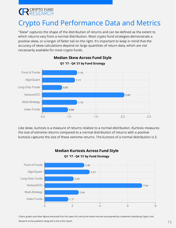#### Crypto Fund Performance Data and Metrics

"Skew" captures the shape of the distribution of returns and can be defined as the extent to which returns vary from a normal distribution. Most crypto fund strategies demonstrate a positive skew, or a longer of fatter tail on the right. It's important to keep in mind that the accuracy of skew calculations depend on large quantities of return data, which are not necessarily available for most crypto funds.



#### Median Skew Across Fund Style

Like skew, kurtosis is a measure of returns relative to a normal distribution. Kurtosis measures the size of extreme returns compared to a normal distribution of returns with a positive kurtosis captures the size of these extreme returns. The kurtosis of a normal distribution is 3.



Median Kurtosis Across Fund Style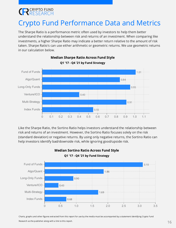### Crypto Fund Performance Data and Metrics

The Sharpe Ratio is a performance metric often used by investors to help them better understand the relationship between risk and returns of an investment. When comparing like investments, a higher Sharpe Ratio may indicate a better return relative to the amount of risk taken. Sharpe Ratio's can use either arithmetic or geometric returns. We use geometric returns in our calculation below.



Median Sharpe Ratio Across Fund Style Q1 '17 - Q4 '21 by Fund Strategy

Like the Sharpe Ratio, the Sortino Ratio helps investors understand the relationship between risk and returns of an investment. However, the Sortino Ratio focuses solely on the risk (standard deviation) or negative returns. By using only negative returns, the Sortino Ratio can help investors identify bad/downside risk, while ignoring good/upside risk.



#### Median Sortino Ratio Across Fund Style Q1 '17 - Q4 '21 by Fund Strategy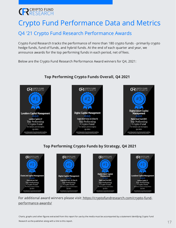#### Crypto Fund Performance Data and Metrics

#### Q4 '21 Crypto Fund Research Performance Awards

Crypto Fund Research tracks the performance of more than 180 crypto funds - primarily crypto hedge funds, fund of funds, and hybrid funds. At the end of each quarter and year, we announce awards for the top performing funds in each period, net of fees.

Below are the Crypto Fund Research Performance Award winners for Q4, 2021:



#### Top Performing Crypto Funds Overall, Q4 2021





#### Top Performing Crypto Funds by Strategy, Q4 2021



For additional award winners please visit: [https://cryptofundresearch.com/crypto-fund](https://cryptofundresearch.com/crypto-fund-performance-awards/)performance-awards/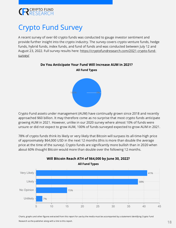### <span id="page-17-0"></span>**EN CRYPTO FUND**

#### Crypto Fund Survey

A recent survey of over 60 crypto funds was conducted to gauge investor sentiment and provide further insight into the crypto industry. The survey covers crypto venture funds, hedge funds, hybrid funds, index funds, and fund of funds and was conducted between July 12 and August 23, 2022. Full survey results here: [https://cryptofundresearch.com/2021-crypto-fund](https://cryptofundresearch.com/2021-crypto-fund-survey/)survey/



#### Do You Anticipate Your Fund Will Increase AUM in 2021?

Crypto Fund assets under management (AUM) have continually grown since 2018 and recently approached \$60 billion. It may therefore come as no surprise that most crypto funds anticipate growing AUM in 2021. However, unlike in our 2020 survey where almost 10% of funds were unsure or did not expect to grow AUM, 100% of funds surveyed expected to grow AUM in 2021.

78% of crypto funds think its likely or very likely that Bitcoin will surpass its all-time-high price of approximately \$64,000 USD in the next 12 months (this is more than double the average price at the time of the survey). Crypto funds are significantly more bullish than in 2020 when about 60% thought Bitcoin would more than double over the following 12 months.



Will Bitcoin Reach ATH of \$64,000 by June 30, 2022? All Fund Types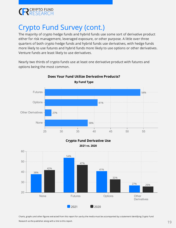

#### Crypto Fund Survey (cont.)

The majority of crypto hedge funds and hybrid funds use some sort of derivative product either for risk management, leveraged exposure, or other purpose. A little over three quarters of both crypto hedge funds and hybrid funds use derivatives, with hedge funds more likely to use futures and hybrid funds more likely to use options or other derivatives. Venture funds are least likely to use derivatives.

Nearly two thirds of crypto funds use at least one derivative product with futures and options being the most common.



Does Your Fund Utilize Derivative Products?

#### Crypto Fund Derivative Use 2021 vs. 2020

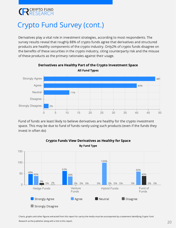#### Crypto Fund Survey (cont.)

Derivatives play a vital role in investment strategies, according to most respondents. The survey results reveal that roughly 88% of crypto funds agree that derivatives and structured products are healthy components of the crypto industry. Only2% of crypto funds disagree on the benefits of these securities in the crypto industry, citing counterparty risk and the misuse of these products as the primary rationales against their usage.



Derivatives are Healthy Part of the Crypto Investment Space All Fund Types

Fund of funds are least likely to believe derivatives are healthy for the crypto investment space. This may be due to fund of funds rarely using such products (even if the funds they invest in often do)



#### Crypto Funds View Derivatives as Healthy for Space By Fund Type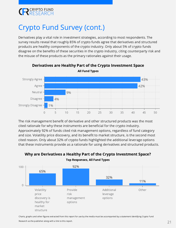

#### Crypto Fund Survey (cont.)

Derivatives play a vital role in investment strategies, according to most respondents. The survey results reveal that roughly 85% of crypto funds agree that derivatives and structured products are healthy components of the crypto industry. Only about 5% of crypto funds disagree on the benefits of these securities in the crypto industry, citing counterparty risk and the misuse of these products as the primary rationales against their usage.



#### Derivatives are Healthy Part of the Crypto Investment Space All Fund Types

The risk management benefit of derivative and other structured products was the most cited rationale for why these instruments are beneficial for the crypto industry. Approximately 92% of funds cited risk management options, regardless of fund category and size. Volatility price discovery, and its benefit to market structure, is the second most cited reason. Only about 32% of crypto funds highlighted the additional leverage options that these instruments provide as a rationale for using derivatives and structured products.



Top Responses, All Fund Types

Why are Derivatives a Healthy Part of the Crypto Investment Space?

Charts, graphs and other figures extracted from this report for use by the media must be accompanied by a statement identifying Crypto Fund

Research as the publisher along with a link to this report.  $21$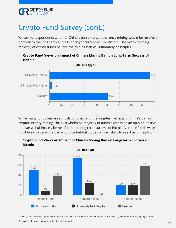#### Crypto Fund Survey (cont.)

We asked respondents whether China's ban on cryptocurrency mining would be helpful or harmful to the long term success of cryptocurrencies like Bitcoin. The overwhelming majority of crypto funds believe the mining ban will ultimately be helpful.



Crypto Fund Views on Impact of China's Mining Ban on Long-Term Success of Bitcoin

While many funds remain agnostic or unsure of the long-term effects of China's ban on cryptocurrency mining, the overwhelming majority of funds expressing an opinion believe the ban will ultimately be helpful to the long-term success of Bitcoin. Venture funds were most likely to think the ban would be helpful, but also most likely to see it as unhelpful.



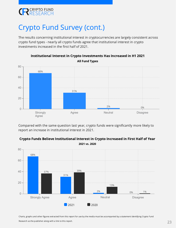#### Crypto Fund Survey (cont.)

The results concerning institutional interest in cryptocurrencies are largely consistent across crypto fund types - nearly all crypto funds agree that institutional interest in crypto investments increased in the first half of 2021.



Institutional Interest in Crypto Investments Has Increased in H1 2021 All Fund Types

Compared with the same question last year, crypto funds were significantly more likely to report an increase in institutional interest in 2021.

Crypto Funds Believe Institutional Interest in Crypto Increased in First Half of Year

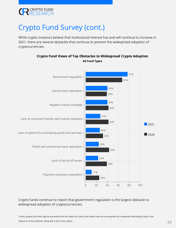#### Crypto Fund Survey (cont.)

While crypto investors believe that institutional interest has and will continue to increase in 2021, there are several obstacles that continue to prevent the widespread adoption of cryptocurrencies.



Crypto Fund Views of Top Obstacles to Widespread Crypto Adoption All Fund Types

#### Crypto funds continue to report that government regulation is the largest obstacle to widespread adoption of cryptocurrencies.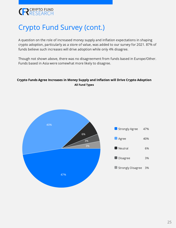### Crypto Fund Survey (cont.)

A question on the role of increased money supply and inflation expectations in shaping crypto adoption, particularly as a store of value, was added to our survey for 2021. 87% of funds believe such increases will drive adoption while only 4% disagree.

Though not shown above, there was no disagreement from funds based in Europe/Other. Funds based in Asia were somewhat more likely to disagree.

#### Crypto Funds Agree Increases in Money Supply and Inflation will Drive Crypto Adoption All Fund Types

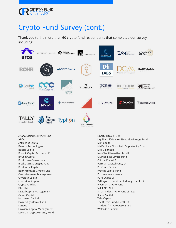

#### Crypto Fund Survey (cont.)

Thank you to the more than 60 crypto fund respondents that completed our survey including:



Altana Digital Currency Fund ARCA Astronaut Capital Baekdu Technologies Belton Capital Bitrock Capital Partners, LP BKCoin Capital Blockchain Coinvestors Blockchain Strategies Fund Blockforce Capital Bohr Arbitrage Crypto Fund Cambrian Asset Management CityBlock Capital Coincident Capital Crypto Fund AG DFi Labs Digital Capital Management Galois Capital Hartmann Capital Icoinic Algorithmic Fund Kenetic Lavaliere Capital Management Leonidas Cryptocurrency Fund Liberty Bitcoin Fund Liquibit USD Market Neutral Arbitrage Fund M31 Capital MaiCapital - Blockchain Opportunity Fund MVPQ Limited NamNar Alternatives fund lp ODIN88 Elite Crypto Fund Off the Chain LP Permian Capital Fund, LP ProChain Capital Protein Capital Fund Proxima Investments Pure Crypto LP Pythagoras Investment Management LLC Rivemont Crypto Fund S2F CAPITAL LP Smart Index Crypto Fund Limited Stylus Capital Tally Capital The Bitcoin Fund (TSX:QBTC) Tradecraft Crypto Asset Fund Waterdrip Capital